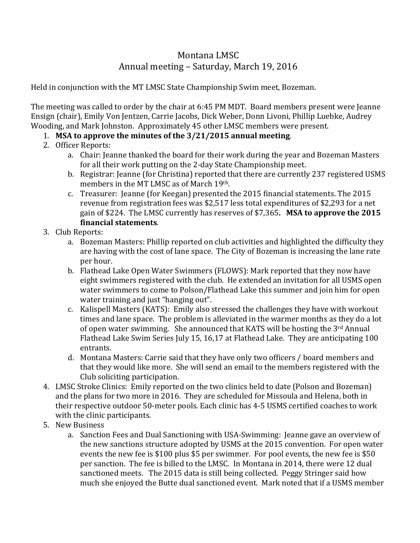## Montana LMSC Annual meeting – Saturday, March 19, 2016

Held in conjunction with the MT LMSC State Championship Swim meet, Bozeman.

The meeting was called to order by the chair at 6:45 PM MDT. Board members present were Jeanne Ensign (chair), Emily Von Jentzen, Carrie Jacobs, Dick Weber, Donn Livoni, Phillip Luebke, Audrey Wooding, and Mark Johnston. Approximately 45 other LMSC members were present.

## 1. **MSA to approve the minutes of the 3/21/2015 annual meeting**.

- 2. Officer Reports:
	- a. Chair: Jeanne thanked the board for their work during the year and Bozeman Masters for all their work putting on the 2-day State Championship meet.
	- b. Registrar: Jeanne (for Christina) reported that there are currently 237 registered USMS members in the MT LMSC as of March 19th.
	- c. Treasurer: Jeanne (for Keegan) presented the 2015 financial statements. The 2015 revenue from registration fees was \$2,517 less total expenditures of \$2,293 for a net gain of \$224. The LMSC currently has reserves of \$7,365**. MSA to approve the 2015 financial statements**.
- 3. Club Reports:
	- a. Bozeman Masters: Phillip reported on club activities and highlighted the difficulty they are having with the cost of lane space. The City of Bozeman is increasing the lane rate per hour.
	- b. Flathead Lake Open Water Swimmers (FLOWS): Mark reported that they now have eight swimmers registered with the club. He extended an invitation for all USMS open water swimmers to come to Polson/Flathead Lake this summer and join him for open water training and just "hanging out".
	- c. Kalispell Masters (KATS): Emily also stressed the challenges they have with workout times and lane space. The problem is alleviated in the warmer months as they do a lot of open water swimming. She announced that KATS will be hosting the 3rd Annual Flathead Lake Swim Series July 15, 16,17 at Flathead Lake. They are anticipating 100 entrants.
	- d. Montana Masters: Carrie said that they have only two officers / board members and that they would like more. She will send an email to the members registered with the Club soliciting participation.
- 4. LMSC Stroke Clinics: Emily reported on the two clinics held to date (Polson and Bozeman) and the plans for two more in 2016. They are scheduled for Missoula and Helena, both in their respective outdoor 50-meter pools. Each clinic has 4-5 USMS certified coaches to work with the clinic participants.
- 5. New Business
	- a. Sanction Fees and Dual Sanctioning with USA-Swimming: Jeanne gave an overview of the new sanctions structure adopted by USMS at the 2015 convention. For open water events the new fee is \$100 plus \$5 per swimmer. For pool events, the new fee is \$50 per sanction. The fee is billed to the LMSC. In Montana in 2014, there were 12 dual sanctioned meets. The 2015 data is still being collected. Peggy Stringer said how much she enjoyed the Butte dual sanctioned event. Mark noted that if a USMS member